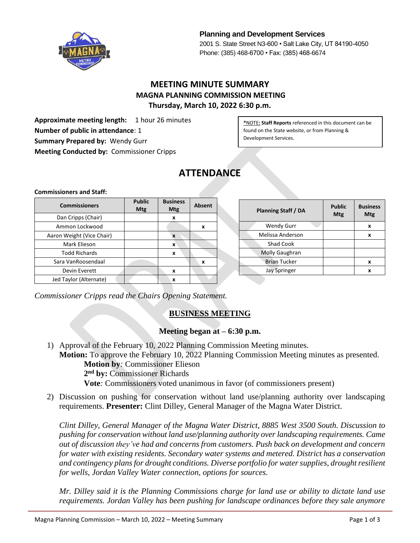

**Planning and Development Services** 2001 S. State Street N3-600 • Salt Lake City, UT 84190-4050 Phone: (385) 468-6700 • Fax: (385) 468-6674

## **MEETING MINUTE SUMMARY MAGNA PLANNING COMMISSION MEETING Thursday, March 10, 2022 6:30 p.m.**

**Approximate meeting length:** 1 hour 26 minutes **Number of public in attendance**: 1 **Summary Prepared by:** Wendy Gurr **Meeting Conducted by:** Commissioner Cripps

**\***NOTE**: Staff Reports** referenced in this document can be found on the State website, or from Planning & Development Services.

# **ATTENDANCE**

#### **Commissioners and Staff:**

| <b>Commissioners</b>      | <b>Public</b><br><b>Mtg</b> | <b>Business</b><br><b>Mtg</b> | <b>Absent</b> |  |
|---------------------------|-----------------------------|-------------------------------|---------------|--|
| Dan Cripps (Chair)        |                             | x                             |               |  |
| Ammon Lockwood            |                             |                               | X             |  |
| Aaron Weight (Vice Chair) |                             | X                             |               |  |
| Mark Elieson              |                             | X                             |               |  |
| <b>Todd Richards</b>      |                             | X                             |               |  |
| Sara VanRoosendaal        |                             |                               | X             |  |
| Devin Everett             |                             | x                             |               |  |
| Jed Taylor (Alternate)    |                             | x                             |               |  |

| <b>Planning Staff / DA</b> | <b>Public</b><br>Mtg | <b>Business</b><br>Mtg |
|----------------------------|----------------------|------------------------|
| <b>Wendy Gurr</b>          |                      | x                      |
| Melissa Anderson           |                      | x                      |
| <b>Shad Cook</b>           |                      |                        |
| Molly Gaughran             |                      |                        |
| <b>Brian Tucker</b>        |                      | x                      |
| <b>Jay Springer</b>        |                      | x                      |
|                            |                      |                        |

*Commissioner Cripps read the Chairs Opening Statement.*

## **BUSINESS MEETING**

#### **Meeting began at – 6:30 p.m.**

- 1) Approval of the February 10, 2022 Planning Commission Meeting minutes. **Motion:** To approve the February 10, 2022 Planning Commission Meeting minutes as presented. **Motion by***:* Commissioner Elieson **2 nd by:** Commissioner Richards **Vote***:* Commissioners voted unanimous in favor (of commissioners present)
- 2) Discussion on pushing for conservation without land use/planning authority over landscaping requirements. **Presenter:** Clint Dilley, General Manager of the Magna Water District.

*Clint Dilley, General Manager of the Magna Water District, 8885 West 3500 South. Discussion to pushing for conservation without land use/planning authority over landscaping requirements. Came out of discussion they've had and concerns from customers. Push back on development and concern for water with existing residents. Secondary water systems and metered. District has a conservation and contingency plans for drought conditions. Diverse portfolio for water supplies, drought resilient for wells, Jordan Valley Water connection, options for sources.*

*Mr. Dilley said it is the Planning Commissions charge for land use or ability to dictate land use requirements. Jordan Valley has been pushing for landscape ordinances before they sale anymore*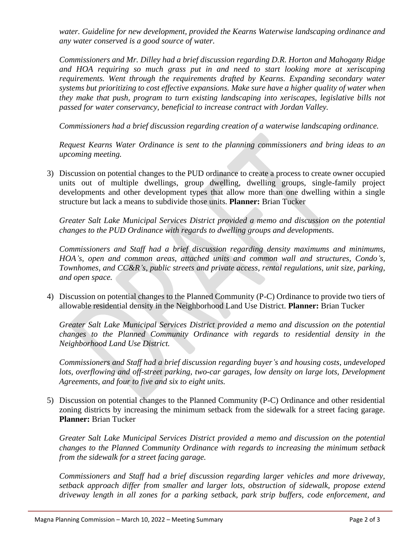*water. Guideline for new development, provided the Kearns Waterwise landscaping ordinance and any water conserved is a good source of water.*

*Commissioners and Mr. Dilley had a brief discussion regarding D.R. Horton and Mahogany Ridge and HOA requiring so much grass put in and need to start looking more at xeriscaping requirements. Went through the requirements drafted by Kearns. Expanding secondary water systems but prioritizing to cost effective expansions. Make sure have a higher quality of water when they make that push, program to turn existing landscaping into xeriscapes, legislative bills not passed for water conservancy, beneficial to increase contract with Jordan Valley.*

*Commissioners had a brief discussion regarding creation of a waterwise landscaping ordinance.*

*Request Kearns Water Ordinance is sent to the planning commissioners and bring ideas to an upcoming meeting.*

3) Discussion on potential changes to the PUD ordinance to create a process to create owner occupied units out of multiple dwellings, group dwelling, dwelling groups, single-family project developments and other development types that allow more than one dwelling within a single structure but lack a means to subdivide those units. **Planner:** Brian Tucker

*Greater Salt Lake Municipal Services District provided a memo and discussion on the potential changes to the PUD Ordinance with regards to dwelling groups and developments.*

*Commissioners and Staff had a brief discussion regarding density maximums and minimums, HOA's, open and common areas, attached units and common wall and structures, Condo's, Townhomes, and CC&R's, public streets and private access, rental regulations, unit size, parking, and open space.*

4) Discussion on potential changes to the Planned Community (P-C) Ordinance to provide two tiers of allowable residential density in the Neighborhood Land Use District. **Planner:** Brian Tucker

*Greater Salt Lake Municipal Services District provided a memo and discussion on the potential changes to the Planned Community Ordinance with regards to residential density in the Neighborhood Land Use District.*

*Commissioners and Staff had a brief discussion regarding buyer's and housing costs, undeveloped lots, overflowing and off-street parking, two-car garages, low density on large lots, Development Agreements, and four to five and six to eight units.*

5) Discussion on potential changes to the Planned Community (P-C) Ordinance and other residential zoning districts by increasing the minimum setback from the sidewalk for a street facing garage. **Planner:** Brian Tucker

*Greater Salt Lake Municipal Services District provided a memo and discussion on the potential changes to the Planned Community Ordinance with regards to increasing the minimum setback from the sidewalk for a street facing garage.*

*Commissioners and Staff had a brief discussion regarding larger vehicles and more driveway, setback approach differ from smaller and larger lots, obstruction of sidewalk, propose extend driveway length in all zones for a parking setback, park strip buffers, code enforcement, and*